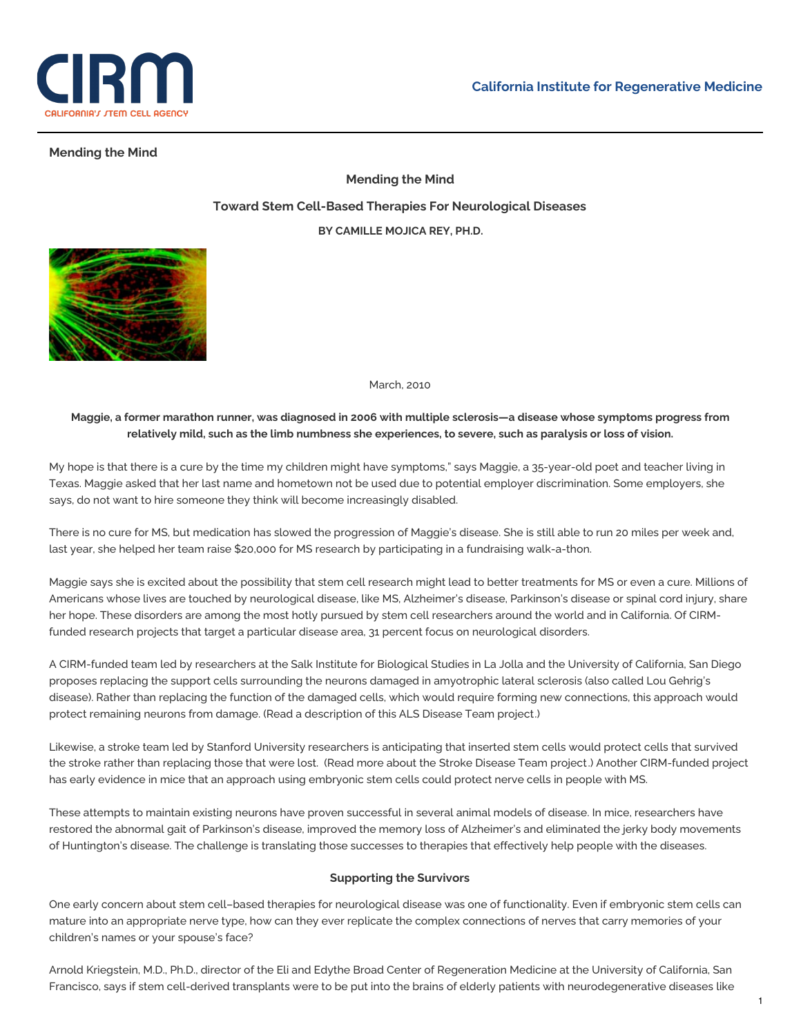

# **Mending the Mind**

**Mending the Mind Toward Stem Cell-Based Therapies For Neurological Diseases BY CAMILLE MOJICA REY, PH.D.**



March, 2010

# Maggie, a former marathon runner, was diagnosed in 2006 with multiple sclerosis-a disease whose symptoms progress from relatively mild, such as the limb numbness she experiences, to severe, such as paralysis or loss of vision.

My hope is that there is a cure by the time my children might have symptoms," says Maggie, a 35-year-old poet and teacher living in Texas. Maggie asked that her last name and hometown not be used due to potential employer discrimination. Some employers, she says, do not want to hire someone they think will become increasingly disabled.

There is no cure for MS, but medication has slowed the progression of Maggie's disease. She is still able to run 20 miles per week and, last year, she helped her team raise \$20,000 for MS research by participating in a fundraising walk-a-thon.

Maggie says she is excited about the possibility that stem cell research might lead to better treatments for MS or even a cure. Millions of Americans whose lives are touched by neurological disease, like MS, Alzheimer's disease, Parkinson's disease or spinal cord injury, share her hope. These disorders are among the most hotly pursued by stem cell researchers around the world and in California. Of CIRMfunded research projects that target a particular disease area, 31 percent focus on neurological disorders.

A CIRM-funded team led by researchers at the Salk Institute for Biological Studies in La Jolla and the University of California, San Diego proposes replacing the support cells surrounding the neurons damaged in amyotrophic lateral sclerosis (also called Lou Gehrig's disease). Rather than replacing the function of the damaged cells, which would require forming new connections, this approach would protect remaining neurons from damage. (Read a description of this ALS [Disease](https://www.cirm.ca.gov/our-progress/disease-information/amyotrophic-lateral-sclerosis-als-fact-sheet) Team project.)

Likewise, a stroke team led by Stanford University researchers is anticipating that inserted stem cells would protect cells that survived the stroke rather than replacing those that were lost. (Read more about the Stroke [Disease](https://www.cirm.ca.gov/our-progress/disease-information/stroke-fact-sheet) Team project.) Another CIRM-funded project has early evidence in mice that an approach using embryonic stem cells could protect nerve cells in people with MS.

These attempts to maintain existing neurons have proven successful in several animal models of disease. In mice, researchers have restored the abnormal gait of Parkinson's disease, improved the memory loss of Alzheimer's and eliminated the jerky body movements of Huntington's disease. The challenge is translating those successes to therapies that effectively help people with the diseases.

### **Supporting the Survivors**

One early concern about stem cell–based therapies for neurological disease was one of functionality. Even if embryonic stem cells can mature into an appropriate nerve type, how can they ever replicate the complex connections of nerves that carry memories of your children's names or your spouse's face?

Arnold Kriegstein, M.D., Ph.D., director of the Eli and Edythe Broad Center of Regeneration Medicine at the University of California, San Francisco, says if stem cell-derived transplants were to be put into the brains of elderly patients with neurodegenerative diseases like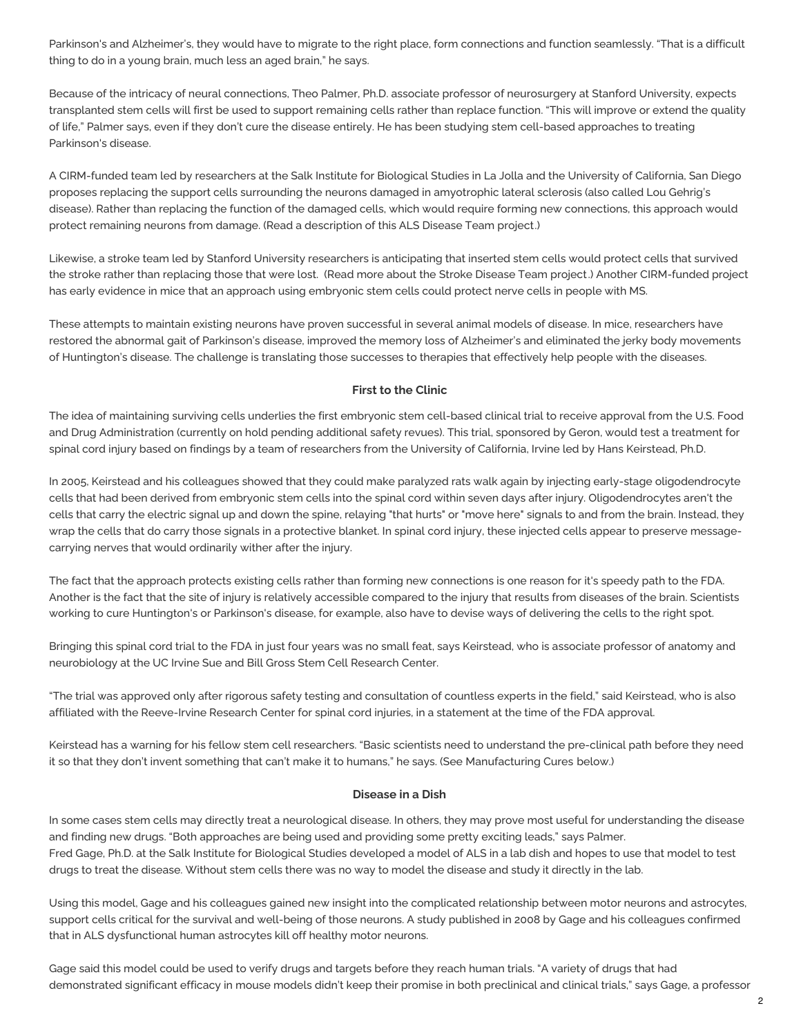Parkinson's and Alzheimer's, they would have to migrate to the right place, form connections and function seamlessly. "That is a difficult thing to do in a young brain, much less an aged brain," he says.

Because of the intricacy of neural connections, Theo Palmer, Ph.D. associate professor of neurosurgery at Stanford University, expects transplanted stem cells will first be used to support remaining cells rather than replace function. "This will improve or extend the quality of life," Palmer says, even if they don't cure the disease entirely. He has been studying stem cell-based approaches to treating Parkinson's disease.

A CIRM-funded team led by researchers at the Salk Institute for Biological Studies in La Jolla and the University of California, San Diego proposes replacing the support cells surrounding the neurons damaged in amyotrophic lateral sclerosis (also called Lou Gehrig's disease). Rather than replacing the function of the damaged cells, which would require forming new connections, this approach would protect remaining neurons from damage. (Read a description of this ALS [Disease](https://www.cirm.ca.gov/our-progress/disease-information/amyotrophic-lateral-sclerosis-als-fact-sheet) Team project.)

Likewise, a stroke team led by Stanford University researchers is anticipating that inserted stem cells would protect cells that survived the stroke rather than replacing those that were lost. (Read more about the Stroke [Disease](https://www.cirm.ca.gov/our-progress/disease-information/stroke-fact-sheet) Team project.) Another CIRM-funded project has early evidence in mice that an approach using embryonic stem cells could protect nerve cells in people with MS.

These attempts to maintain existing neurons have proven successful in several animal models of disease. In mice, researchers have restored the abnormal gait of Parkinson's disease, improved the memory loss of Alzheimer's and eliminated the jerky body movements of Huntington's disease. The challenge is translating those successes to therapies that effectively help people with the diseases.

### **First to the Clinic**

The idea of maintaining surviving cells underlies the first embryonic stem cell-based clinical trial to receive approval from the U.S. Food and Drug Administration (currently on hold pending additional safety revues). This trial, sponsored by Geron, would test a treatment for spinal cord injury based on findings by a team of researchers from the University of California, Irvine led by Hans Keirstead, Ph.D.

In 2005, Keirstead and his colleagues showed that they could make paralyzed rats walk again by injecting early-stage oligodendrocyte cells that had been derived from embryonic stem cells into the spinal cord within seven days after injury. Oligodendrocytes aren't the cells that carry the electric signal up and down the spine, relaying "that hurts" or "move here" signals to and from the brain. Instead, they wrap the cells that do carry those signals in a protective blanket. In spinal cord injury, these injected cells appear to preserve messagecarrying nerves that would ordinarily wither after the injury.

The fact that the approach protects existing cells rather than forming new connections is one reason for it's speedy path to the FDA. Another is the fact that the site of injury is relatively accessible compared to the injury that results from diseases of the brain. Scientists working to cure Huntington's or Parkinson's disease, for example, also have to devise ways of delivering the cells to the right spot.

Bringing this spinal cord trial to the FDA in just four years was no small feat, says Keirstead, who is associate professor of anatomy and neurobiology at the UC Irvine Sue and Bill Gross Stem Cell Research Center.

"The trial was approved only after rigorous safety testing and consultation of countless experts in the field," said Keirstead, who is also affiliated with the Reeve-Irvine Research Center for spinal cord injuries, in a statement at the time of the FDA approval.

Keirstead has a warning for his fellow stem cell researchers. "Basic scientists need to understand the pre-clinical path before they need it so that they don't invent something that can't make it to humans," he says. (See [Manufacturing](https://www.cirm.ca.gov/our-progress/feature-stories/mending-mind#Cures) Cures below.)

#### **Disease in a Dish**

In some cases stem cells may directly treat a neurological disease. In others, they may prove most useful for understanding the disease and finding new drugs. "Both approaches are being used and providing some pretty exciting leads," says Palmer. Fred Gage, Ph.D. at the Salk Institute for Biological Studies developed a model of ALS in a lab dish and hopes to use that model to test drugs to treat the disease. Without stem cells there was no way to model the disease and study it directly in the lab.

Using this model, Gage and his colleagues gained new insight into the complicated relationship between motor neurons and astrocytes, support cells critical for the survival and well-being of those neurons. A study published in 2008 by Gage and his colleagues confirmed that in ALS dysfunctional human astrocytes kill off healthy motor neurons.

Gage said this model could be used to verify drugs and targets before they reach human trials. "A variety of drugs that had demonstrated significant efficacy in mouse models didn't keep their promise in both preclinical and clinical trials," says Gage, a professor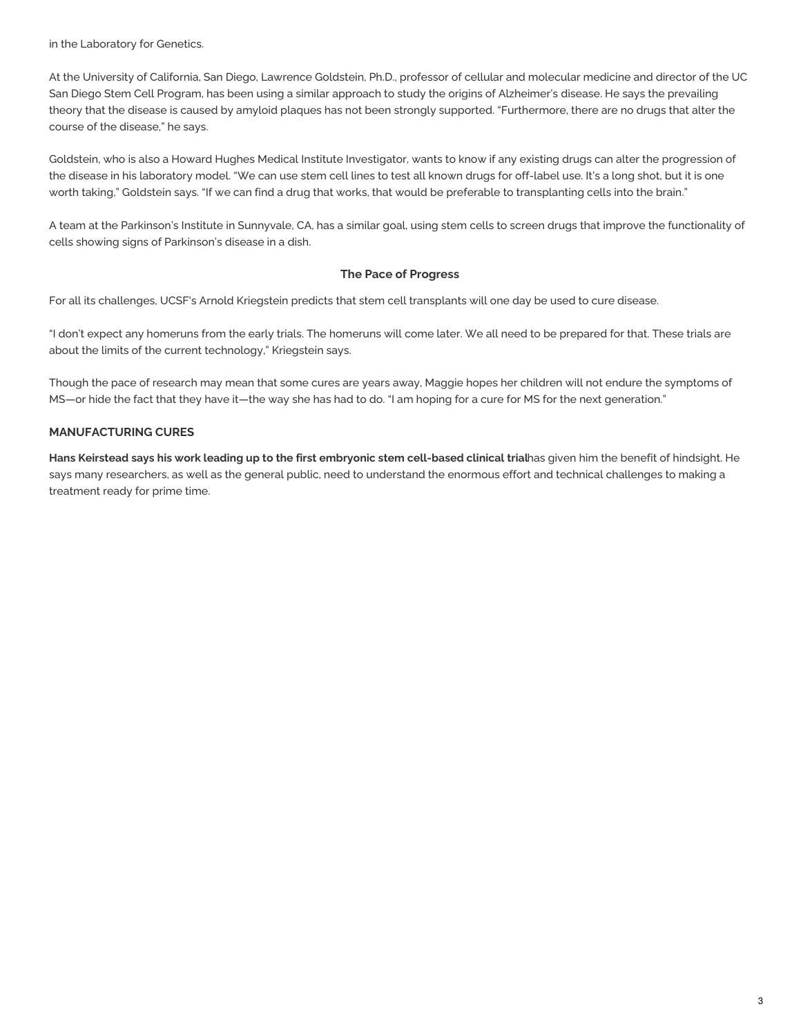in the Laboratory for Genetics.

At the University of California, San Diego, Lawrence Goldstein, Ph.D., professor of cellular and molecular medicine and director of the UC San Diego Stem Cell Program, has been using a similar approach to study the origins of Alzheimer's disease. He says the prevailing theory that the disease is caused by amyloid plaques has not been strongly supported. "Furthermore, there are no drugs that alter the course of the disease," he says.

Goldstein, who is also a Howard Hughes Medical Institute Investigator, wants to know if any existing drugs can alter the progression of the disease in his laboratory model. "We can use stem cell lines to test all known drugs for off-label use. It's a long shot, but it is one worth taking," Goldstein says. "If we can find a drug that works, that would be preferable to transplanting cells into the brain."

A team at the Parkinson's Institute in Sunnyvale, CA, has a similar goal, using stem cells to screen drugs that improve the functionality of cells showing signs of Parkinson's disease in a dish.

### **The Pace of Progress**

For all its challenges, UCSF's Arnold Kriegstein predicts that stem cell transplants will one day be used to cure disease.

"I don't expect any homeruns from the early trials. The homeruns will come later. We all need to be prepared for that. These trials are about the limits of the current technology," Kriegstein says.

Though the pace of research may mean that some cures are years away, Maggie hopes her children will not endure the symptoms of MS—or hide the fact that they have it—the way she has had to do. "I am hoping for a cure for MS for the next generation."

# **MANUFACTURING CURES**

Hans Keirstead says his work leading up to the first embryonic stem cell-based clinical trialhas given him the benefit of hindsight. He says many researchers, as well as the general public, need to understand the enormous effort and technical challenges to making a treatment ready for prime time.